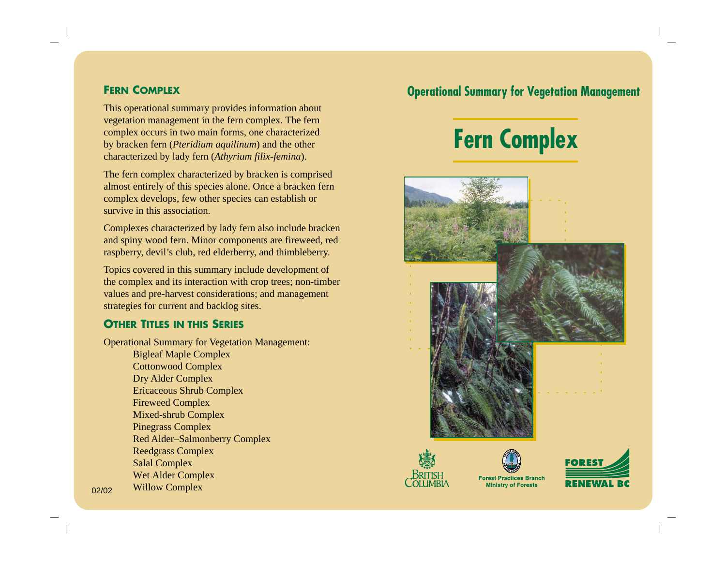This operational summary provides information about vegetation management in the fern complex. The fern complex occurs in two main forms, one characterized by bracken fern (*Pteridium aquilinum*) and the other characterized by lady fern (*Athyrium filix-femina*).

The fern complex characterized by bracken is comprised almost entirely of this species alone. Once a bracken fern complex develops, few other species can establish or survive in this association.

Complexes characterized by lady fern also include bracken and spiny wood fern. Minor components are fireweed, red raspberry, devil's club, red elderberry, and thimbleberry.

Topics covered in this summary include development of the complex and its interaction with crop trees; non-timber values and pre-harvest considerations; and management strategies for current and backlog sites.

## **OTHER TITLES IN THIS SERIES**

Operational Summary for Vegetation Management:

Bigleaf Maple Complex Cottonwood Complex Dry Alder Complex Ericaceous Shrub Complex Fireweed Complex Mixed-shrub Complex Pinegrass Complex Red Alder–Salmonberry Complex Reedgrass Complex Salal Complex Wet Alder Complex Willow Complex

## **FERN COMPLEX Operational Summary for Vegetation Management**











**Forest Practices Branch Ministry of Forests**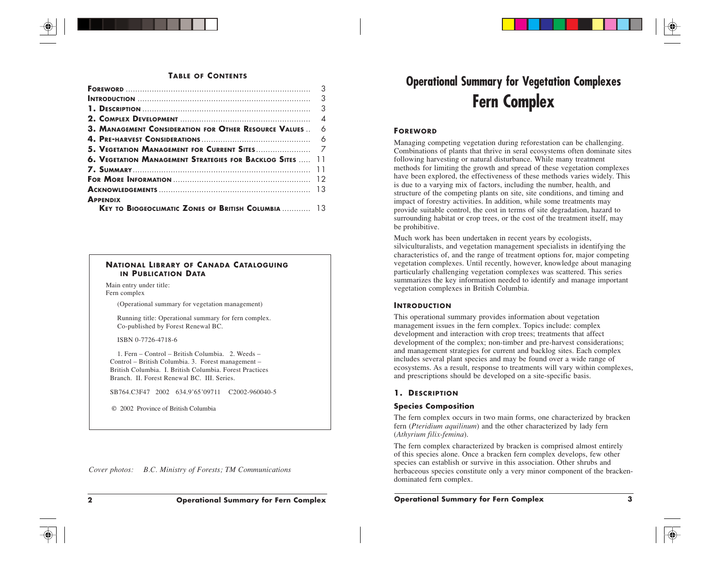#### **TABLE OF CONTENTS**

|                                                                              | 3        |
|------------------------------------------------------------------------------|----------|
|                                                                              | 3        |
|                                                                              | 3        |
|                                                                              | $\Delta$ |
| 3. MANAGEMENT CONSIDERATION FOR OTHER RESOURCE VALUES                        | 6        |
|                                                                              |          |
|                                                                              |          |
| <b>6. VEGETATION MANAGEMENT STRATEGIES FOR BACKLOG SITES</b> 11              |          |
|                                                                              |          |
|                                                                              |          |
|                                                                              |          |
| <b>APPENDIX</b><br><b>KEY TO BIOGEOCLIMATIC ZONES OF BRITISH COLUMBIA</b> 13 |          |

### **NATIONAL LIBRARY OF CANADA CATALOGUING IN PUBLICATION DATA**

Main entry under title: Fern complex

(Operational summary for vegetation management)

Running title: Operational summary for fern complex. Co-published by Forest Renewal BC.

ISBN 0-7726-4718-6

1. Fern – Control – British Columbia. 2. Weeds – Control – British Columbia. 3. Forest management – British Columbia. I. British Columbia. Forest Practices Branch. II. Forest Renewal BC. III. Series.

SB764.C3F47 2002 634.9'65'09711 C2002-960040-5

© 2002 Province of British Columbia

*Cover photos: B.C. Ministry of Forests; TM Communications*

# **Operational Summary for Vegetation Complexes Fern Complex**

## **FOREWORD**

Managing competing vegetation during reforestation can be challenging. Combinations of plants that thrive in seral ecosystems often dominate sites following harvesting or natural disturbance. While many treatment methods for limiting the growth and spread of these vegetation complexes have been explored, the effectiveness of these methods varies widely. This is due to a varying mix of factors, including the number, health, and structure of the competing plants on site, site conditions, and timing and impact of forestry activities. In addition, while some treatments may provide suitable control, the cost in terms of site degradation, hazard to surrounding habitat or crop trees, or the cost of the treatment itself, may be prohibitive.

Much work has been undertaken in recent years by ecologists, silviculturalists, and vegetation management specialists in identifying the characteristics of, and the range of treatment options for, major competing vegetation complexes. Until recently, however, knowledge about managing particularly challenging vegetation complexes was scattered. This series summarizes the key information needed to identify and manage important vegetation complexes in British Columbia.

## **INTRODUCTION**

This operational summary provides information about vegetation management issues in the fern complex. Topics include: complex development and interaction with crop trees; treatments that affect development of the complex; non-timber and pre-harvest considerations; and management strategies for current and backlog sites. Each complex includes several plant species and may be found over a wide range of ecosystems. As a result, response to treatments will vary within complexes, and prescriptions should be developed on a site-specific basis.

## **1. DESCRIPTION**

## **Species Composition**

The fern complex occurs in two main forms, one characterized by bracken fern (*Pteridium aquilinum*) and the other characterized by lady fern (*Athyrium filix-femina*).

The fern complex characterized by bracken is comprised almost entirely of this species alone. Once a bracken fern complex develops, few other species can establish or survive in this association. Other shrubs and herbaceous species constitute only a very minor component of the brackendominated fern complex.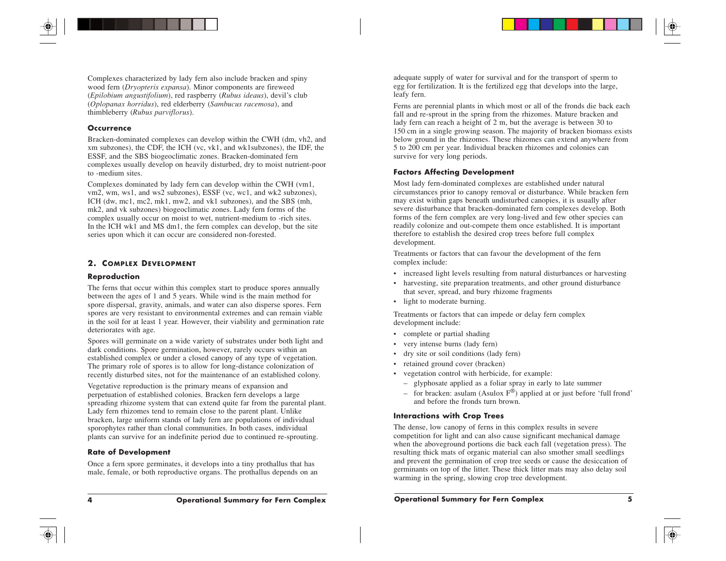Complexes characterized by lady fern also include bracken and spiny wood fern (*Dryopteris expansa*). Minor components are fireweed (*Epilobium angustifolium*), red raspberry (*Rubus ideaus*), devil's club (*Oplopanax horridus*), red elderberry (*Sambucus racemosa*), and thimbleberry (*Rubus parviflorus*).

## **Occurrence**

Bracken-dominated complexes can develop within the CWH (dm, vh2, and xm subzones), the CDF, the ICH (vc, vk1, and wk1subzones), the IDF, the ESSF, and the SBS biogeoclimatic zones. Bracken-dominated fern complexes usually develop on heavily disturbed, dry to moist nutrient-poor to -medium sites.

Complexes dominated by lady fern can develop within the CWH (vm1, vm2, wm, ws1, and ws2 subzones), ESSF (vc, wc1, and wk2 subzones), ICH (dw, mc1, mc2, mk1, mw2, and vk1 subzones), and the SBS (mh, mk2, and vk subzones) biogeoclimatic zones. Lady fern forms of the complex usually occur on moist to wet, nutrient-medium to -rich sites. In the ICH wk1 and MS dm1, the fern complex can develop, but the site series upon which it can occur are considered non-forested.

## **2. COMPLEX DEVELOPMENT**

## **Reproduction**

The ferns that occur within this complex start to produce spores annually between the ages of 1 and 5 years. While wind is the main method for spore dispersal, gravity, animals, and water can also disperse spores. Fern spores are very resistant to environmental extremes and can remain viable in the soil for at least 1 year. However, their viability and germination rate deteriorates with age.

Spores will germinate on a wide variety of substrates under both light and dark conditions. Spore germination, however, rarely occurs within an established complex or under a closed canopy of any type of vegetation. The primary role of spores is to allow for long-distance colonization of recently disturbed sites, not for the maintenance of an established colony.

Vegetative reproduction is the primary means of expansion and perpetuation of established colonies. Bracken fern develops a large spreading rhizome system that can extend quite far from the parental plant. Lady fern rhizomes tend to remain close to the parent plant. Unlike bracken, large uniform stands of lady fern are populations of individual sporophytes rather than clonal communities. In both cases, individual plants can survive for an indefinite period due to continued re-sprouting.

## **Rate of Development**

Once a fern spore germinates, it develops into a tiny prothallus that has male, female, or both reproductive organs. The prothallus depends on an adequate supply of water for survival and for the transport of sperm to egg for fertilization. It is the fertilized egg that develops into the large, leafy fern.

Ferns are perennial plants in which most or all of the fronds die back each fall and re-sprout in the spring from the rhizomes. Mature bracken and lady fern can reach a height of 2 m, but the average is between 30 to 150 cm in a single growing season. The majority of bracken biomass exists below ground in the rhizomes. These rhizomes can extend anywhere from 5 to 200 cm per year. Individual bracken rhizomes and colonies can survive for very long periods.

## **Factors Affecting Development**

Most lady fern-dominated complexes are established under natural circumstances prior to canopy removal or disturbance. While bracken fern may exist within gaps beneath undisturbed canopies, it is usually after severe disturbance that bracken-dominated fern complexes develop. Both forms of the fern complex are very long-lived and few other species can readily colonize and out-compete them once established. It is important therefore to establish the desired crop trees before full complex development.

Treatments or factors that can favour the development of the fern complex include:

- increased light levels resulting from natural disturbances or harvesting
- harvesting, site preparation treatments, and other ground disturbance that sever, spread, and bury rhizome fragments
- light to moderate burning.

Treatments or factors that can impede or delay fern complex development include:

- complete or partial shading
- very intense burns (lady fern)
- dry site or soil conditions (lady fern)
- retained ground cover (bracken)
- vegetation control with herbicide, for example:
	- glyphosate applied as a foliar spray in early to late summer
	- for bracken: asulam (Asulox  $F^{\circledast}$ ) applied at or just before 'full frond' and before the fronds turn brown.

## **Interactions with Crop Trees**

The dense, low canopy of ferns in this complex results in severe competition for light and can also cause significant mechanical damage when the aboveground portions die back each fall (vegetation press). The resulting thick mats of organic material can also smother small seedlings and prevent the germination of crop tree seeds or cause the desiccation of germinants on top of the litter. These thick litter mats may also delay soil warming in the spring, slowing crop tree development.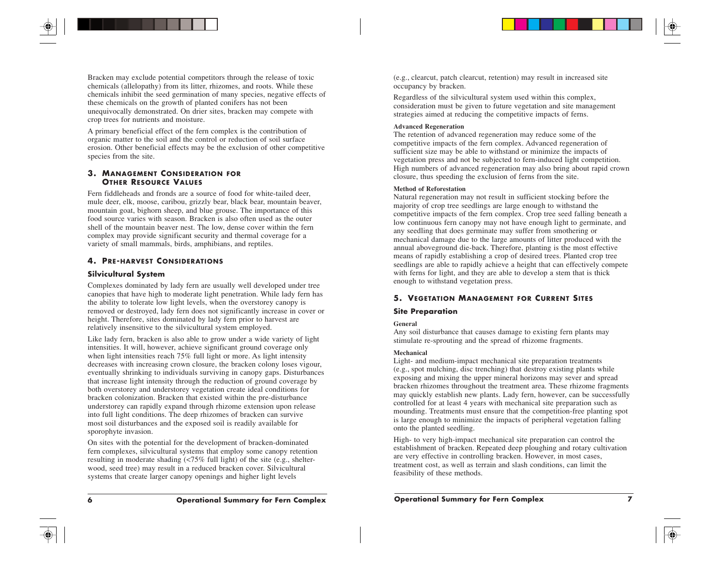Bracken may exclude potential competitors through the release of toxic chemicals (allelopathy) from its litter, rhizomes, and roots. While these chemicals inhibit the seed germination of many species, negative effects of these chemicals on the growth of planted conifers has not been unequivocally demonstrated. On drier sites, bracken may compete with crop trees for nutrients and moisture.

A primary beneficial effect of the fern complex is the contribution of organic matter to the soil and the control or reduction of soil surface erosion. Other beneficial effects may be the exclusion of other competitive species from the site.

## **3. MANAGEMENT CONSIDERATION FOR OTHER RESOURCE VALUES**

Fern fiddleheads and fronds are a source of food for white-tailed deer, mule deer, elk, moose, caribou, grizzly bear, black bear, mountain beaver, mountain goat, bighorn sheep, and blue grouse. The importance of this food source varies with season. Bracken is also often used as the outer shell of the mountain beaver nest. The low, dense cover within the fern complex may provide significant security and thermal coverage for a variety of small mammals, birds, amphibians, and reptiles.

## **4. PRE-HARVEST CONSIDERATIONS**

## **Silvicultural System**

Complexes dominated by lady fern are usually well developed under tree canopies that have high to moderate light penetration. While lady fern has the ability to tolerate low light levels, when the overstorey canopy is removed or destroyed, lady fern does not significantly increase in cover or height. Therefore, sites dominated by lady fern prior to harvest are relatively insensitive to the silvicultural system employed.

Like lady fern, bracken is also able to grow under a wide variety of light intensities. It will, however, achieve significant ground coverage only when light intensities reach 75% full light or more. As light intensity decreases with increasing crown closure, the bracken colony loses vigour, eventually shrinking to individuals surviving in canopy gaps. Disturbances that increase light intensity through the reduction of ground coverage by both overstorey and understorey vegetation create ideal conditions for bracken colonization. Bracken that existed within the pre-disturbance understorey can rapidly expand through rhizome extension upon release into full light conditions. The deep rhizomes of bracken can survive most soil disturbances and the exposed soil is readily available for sporophyte invasion.

On sites with the potential for the development of bracken-dominated fern complexes, silvicultural systems that employ some canopy retention resulting in moderate shading (<75% full light) of the site (e.g., shelterwood, seed tree) may result in a reduced bracken cover. Silvicultural systems that create larger canopy openings and higher light levels

(e.g., clearcut, patch clearcut, retention) may result in increased site occupancy by bracken.

Regardless of the silvicultural system used within this complex, consideration must be given to future vegetation and site management strategies aimed at reducing the competitive impacts of ferns.

#### **Advanced Regeneration**

The retention of advanced regeneration may reduce some of the competitive impacts of the fern complex. Advanced regeneration of sufficient size may be able to withstand or minimize the impacts of vegetation press and not be subjected to fern-induced light competition. High numbers of advanced regeneration may also bring about rapid crown closure, thus speeding the exclusion of ferns from the site.

#### **Method of Reforestation**

Natural regeneration may not result in sufficient stocking before the majority of crop tree seedlings are large enough to withstand the competitive impacts of the fern complex. Crop tree seed falling beneath a low continuous fern canopy may not have enough light to germinate, and any seedling that does germinate may suffer from smothering or mechanical damage due to the large amounts of litter produced with the annual aboveground die-back. Therefore, planting is the most effective means of rapidly establishing a crop of desired trees. Planted crop tree seedlings are able to rapidly achieve a height that can effectively compete with ferns for light, and they are able to develop a stem that is thick enough to withstand vegetation press.

## **5. VEGETATION MANAGEMENT FOR CURRENT SITES**

## **Site Preparation**

## **General**

Any soil disturbance that causes damage to existing fern plants may stimulate re-sprouting and the spread of rhizome fragments.

## **Mechanical**

Light- and medium-impact mechanical site preparation treatments (e.g., spot mulching, disc trenching) that destroy existing plants while exposing and mixing the upper mineral horizons may sever and spread bracken rhizomes throughout the treatment area. These rhizome fragments may quickly establish new plants. Lady fern, however, can be successfully controlled for at least 4 years with mechanical site preparation such as mounding. Treatments must ensure that the competition-free planting spot is large enough to minimize the impacts of peripheral vegetation falling onto the planted seedling.

High- to very high-impact mechanical site preparation can control the establishment of bracken. Repeated deep ploughing and rotary cultivation are very effective in controlling bracken. However, in most cases, treatment cost, as well as terrain and slash conditions, can limit the feasibility of these methods.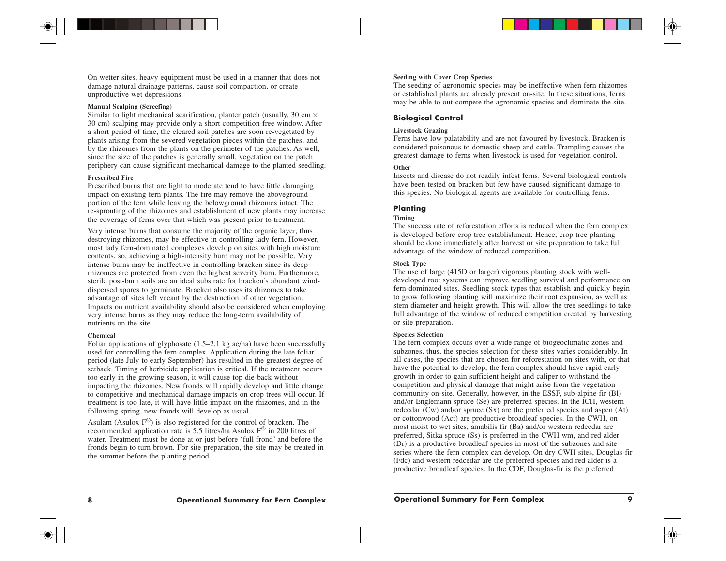On wetter sites, heavy equipment must be used in a manner that does not damage natural drainage patterns, cause soil compaction, or create unproductive wet depressions.

#### **Manual Scalping (Screefing)**

Similar to light mechanical scarification, planter patch (usually, 30 cm  $\times$ 30 cm) scalping may provide only a short competition-free window. After a short period of time, the cleared soil patches are soon re-vegetated by plants arising from the severed vegetation pieces within the patches, and by the rhizomes from the plants on the perimeter of the patches. As well, since the size of the patches is generally small, vegetation on the patch periphery can cause significant mechanical damage to the planted seedling.

#### **Prescribed Fire**

Prescribed burns that are light to moderate tend to have little damaging impact on existing fern plants. The fire may remove the aboveground portion of the fern while leaving the belowground rhizomes intact. The re-sprouting of the rhizomes and establishment of new plants may increase the coverage of ferns over that which was present prior to treatment.

Very intense burns that consume the majority of the organic layer, thus destroying rhizomes, may be effective in controlling lady fern. However, most lady fern-dominated complexes develop on sites with high moisture contents, so, achieving a high-intensity burn may not be possible. Very intense burns may be ineffective in controlling bracken since its deep rhizomes are protected from even the highest severity burn. Furthermore, sterile post-burn soils are an ideal substrate for bracken's abundant winddispersed spores to germinate. Bracken also uses its rhizomes to take advantage of sites left vacant by the destruction of other vegetation. Impacts on nutrient availability should also be considered when employing very intense burns as they may reduce the long-term availability of nutrients on the site.

#### **Chemical**

Foliar applications of glyphosate (1.5–2.1 kg ae/ha) have been successfully used for controlling the fern complex. Application during the late foliar period (late July to early September) has resulted in the greatest degree of setback. Timing of herbicide application is critical. If the treatment occurs too early in the growing season, it will cause top die-back without impacting the rhizomes. New fronds will rapidly develop and little change to competitive and mechanical damage impacts on crop trees will occur. If treatment is too late, it will have little impact on the rhizomes, and in the following spring, new fronds will develop as usual.

Asulam (Asulox  $F^{\circledast}$ ) is also registered for the control of bracken. The recommended application rate is 5.5 litres/ha Asulox F ® in 200 litres of water. Treatment must be done at or just before 'full frond' and before the fronds begin to turn brown. For site preparation, the site may be treated in the summer before the planting period.

#### **Seeding with Cover Crop Species**

The seeding of agronomic species may be ineffective when fern rhizomes or established plants are already present on-site. In these situations, ferns may be able to out-compete the agronomic species and dominate the site.

### **Biological Control**

#### **Livestock Grazing**

Ferns have low palatability and are not favoured by livestock. Bracken is considered poisonous to domestic sheep and cattle. Trampling causes the greatest damage to ferns when livestock is used for vegetation control.

#### **Other**

Insects and disease do not readily infest ferns. Several biological controls have been tested on bracken but few have caused significant damage to this species. No biological agents are available for controlling ferns.

## **Planting**

#### **Timing**

The success rate of reforestation efforts is reduced when the fern complex is developed before crop tree establishment. Hence, crop tree planting should be done immediately after harvest or site preparation to take full advantage of the window of reduced competition.

#### **Stock Type**

The use of large (415D or larger) vigorous planting stock with welldeveloped root systems can improve seedling survival and performance on fern-dominated sites. Seedling stock types that establish and quickly begin to grow following planting will maximize their root expansion, as well as stem diameter and height growth. This will allow the tree seedlings to take full advantage of the window of reduced competition created by harvesting or site preparation.

#### **Species Selection**

The fern complex occurs over a wide range of biogeoclimatic zones and subzones, thus, the species selection for these sites varies considerably. In all cases, the species that are chosen for reforestation on sites with, or that have the potential to develop, the fern complex should have rapid early growth in order to gain sufficient height and caliper to withstand the competition and physical damage that might arise from the vegetation community on-site. Generally, however, in the ESSF, sub-alpine fir (Bl) and/or Englemann spruce (Se) are preferred species. In the ICH, western redcedar (Cw) and/or spruce (Sx) are the preferred species and aspen (At) or cottonwood (Act) are productive broadleaf species. In the CWH, on most moist to wet sites, amabilis fir (Ba) and/or western redcedar are preferred, Sitka spruce (Ss) is preferred in the CWH wm, and red alder (Dr) is a productive broadleaf species in most of the subzones and site series where the fern complex can develop. On dry CWH sites, Douglas-fir (Fdc) and western redcedar are the preferred species and red alder is a productive broadleaf species. In the CDF, Douglas-fir is the preferred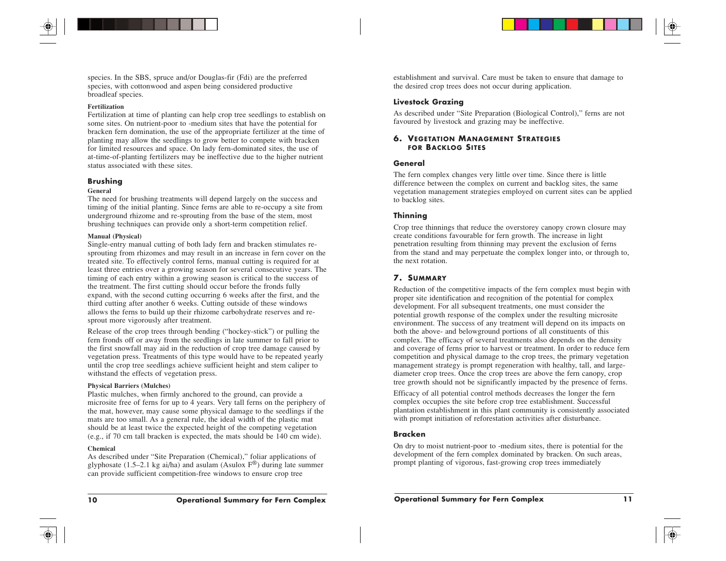species. In the SBS, spruce and/or Douglas-fir (Fdi) are the preferred species, with cottonwood and aspen being considered productive broadleaf species.

## **Fertilization**

Fertilization at time of planting can help crop tree seedlings to establish on some sites. On nutrient-poor to -medium sites that have the potential for bracken fern domination, the use of the appropriate fertilizer at the time of planting may allow the seedlings to grow better to compete with bracken for limited resources and space. On lady fern-dominated sites, the use of at-time-of-planting fertilizers may be ineffective due to the higher nutrient status associated with these sites.

## **Brushing**

## **General**

The need for brushing treatments will depend largely on the success and timing of the initial planting. Since ferns are able to re-occupy a site from underground rhizome and re-sprouting from the base of the stem, most brushing techniques can provide only a short-term competition relief.

#### **Manual (Physical)**

Single-entry manual cutting of both lady fern and bracken stimulates resprouting from rhizomes and may result in an increase in fern cover on the treated site. To effectively control ferns, manual cutting is required for at least three entries over a growing season for several consecutive years. The timing of each entry within a growing season is critical to the success of the treatment. The first cutting should occur before the fronds fully expand, with the second cutting occurring 6 weeks after the first, and the third cutting after another 6 weeks. Cutting outside of these windows allows the ferns to build up their rhizome carbohydrate reserves and resprout more vigorously after treatment.

Release of the crop trees through bending ("hockey-stick") or pulling the fern fronds off or away from the seedlings in late summer to fall prior to the first snowfall may aid in the reduction of crop tree damage caused by vegetation press. Treatments of this type would have to be repeated yearly until the crop tree seedlings achieve sufficient height and stem caliper to withstand the effects of vegetation press.

#### **Physical Barriers (Mulches)**

Plastic mulches, when firmly anchored to the ground, can provide a microsite free of ferns for up to 4 years. Very tall ferns on the periphery of the mat, however, may cause some physical damage to the seedlings if the mats are too small. As a general rule, the ideal width of the plastic mat should be at least twice the expected height of the competing vegetation (e.g., if 70 cm tall bracken is expected, the mats should be 140 cm wide).

#### **Chemical**

As described under "Site Preparation (Chemical)," foliar applications of glyphosate (1.5–2.1 kg ai/ha) and asulam (Asulox  $F^{\circledR}$ ) during late summer can provide sufficient competition-free windows to ensure crop tree

establishment and survival. Care must be taken to ensure that damage to the desired crop trees does not occur during application.

## **Livestock Grazing**

As described under "Site Preparation (Biological Control)," ferns are not favoured by livestock and grazing may be ineffective.

## **6. VEGETATION MANAGEMENT STRATEGIES FOR BACKLOG SITES**

## **General**

The fern complex changes very little over time. Since there is little difference between the complex on current and backlog sites, the same vegetation management strategies employed on current sites can be applied to backlog sites.

## **Thinning**

Crop tree thinnings that reduce the overstorey canopy crown closure may create conditions favourable for fern growth. The increase in light penetration resulting from thinning may prevent the exclusion of ferns from the stand and may perpetuate the complex longer into, or through to, the next rotation.

## **7. SUMMARY**

Reduction of the competitive impacts of the fern complex must begin with proper site identification and recognition of the potential for complex development. For all subsequent treatments, one must consider the potential growth response of the complex under the resulting microsite environment. The success of any treatment will depend on its impacts on both the above- and belowground portions of all constituents of this complex. The efficacy of several treatments also depends on the density and coverage of ferns prior to harvest or treatment. In order to reduce fern competition and physical damage to the crop trees, the primary vegetation management strategy is prompt regeneration with healthy, tall, and largediameter crop trees. Once the crop trees are above the fern canopy, crop tree growth should not be significantly impacted by the presence of ferns.

Efficacy of all potential control methods decreases the longer the fern complex occupies the site before crop tree establishment. Successful plantation establishment in this plant community is consistently associated with prompt initiation of reforestation activities after disturbance.

## **Bracken**

On dry to moist nutrient-poor to -medium sites, there is potential for the development of the fern complex dominated by bracken. On such areas, prompt planting of vigorous, fast-growing crop trees immediately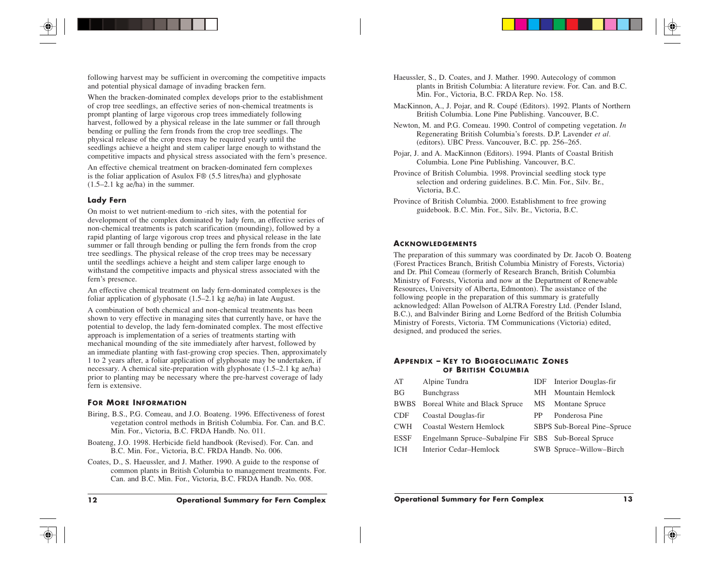following harvest may be sufficient in overcoming the competitive impacts and potential physical damage of invading bracken fern.

When the bracken-dominated complex develops prior to the establishment of crop tree seedlings, an effective series of non-chemical treatments is prompt planting of large vigorous crop trees immediately following harvest, followed by a physical release in the late summer or fall through bending or pulling the fern fronds from the crop tree seedlings. The physical release of the crop trees may be required yearly until the seedlings achieve a height and stem caliper large enough to withstand the competitive impacts and physical stress associated with the fern's presence.

An effective chemical treatment on bracken-dominated fern complexes is the foliar application of Asulox F® (5.5 litres/ha) and glyphosate (1.5–2.1 kg ae/ha) in the summer.

## **Lady Fern**

On moist to wet nutrient-medium to -rich sites, with the potential for development of the complex dominated by lady fern, an effective series of non-chemical treatments is patch scarification (mounding), followed by a rapid planting of large vigorous crop trees and physical release in the late summer or fall through bending or pulling the fern fronds from the crop tree seedlings. The physical release of the crop trees may be necessary until the seedlings achieve a height and stem caliper large enough to withstand the competitive impacts and physical stress associated with the fern's presence.

An effective chemical treatment on lady fern-dominated complexes is the foliar application of glyphosate (1.5–2.1 kg ae/ha) in late August.

A combination of both chemical and non-chemical treatments has been shown to very effective in managing sites that currently have, or have the potential to develop, the lady fern-dominated complex. The most effective approach is implementation of a series of treatments starting with mechanical mounding of the site immediately after harvest, followed by an immediate planting with fast-growing crop species. Then, approximately 1 to 2 years after, a foliar application of glyphosate may be undertaken, if necessary. A chemical site-preparation with glyphosate (1.5–2.1 kg ae/ha) prior to planting may be necessary where the pre-harvest coverage of lady fern is extensive.

## **FOR MORE INFORMATION**

- Biring, B.S., P.G. Comeau, and J.O. Boateng. 1996. Effectiveness of forest vegetation control methods in British Columbia. For. Can. and B.C. Min. For., Victoria, B.C. FRDA Handb. No. 011.
- Boateng, J.O. 1998. Herbicide field handbook (Revised). For. Can. and B.C. Min. For., Victoria, B.C. FRDA Handb. No. 006.
- Coates, D., S. Haeussler, and J. Mather. 1990. A guide to the response of common plants in British Columbia to management treatments. For. Can. and B.C. Min. For., Victoria, B.C. FRDA Handb. No. 008.
- MacKinnon, A., J. Pojar, and R. Coupé (Editors). 1992. Plants of Northern British Columbia. Lone Pine Publishing. Vancouver, B.C.
- Newton, M. and P.G. Comeau. 1990. Control of competing vegetation. *In* Regenerating British Columbia's forests. D.P. Lavender *et al.* (editors). UBC Press. Vancouver, B.C. pp. 256–265.
- Pojar, J. and A. MacKinnon (Editors). 1994. Plants of Coastal British Columbia. Lone Pine Publishing. Vancouver, B.C.
- Province of British Columbia. 1998. Provincial seedling stock type selection and ordering guidelines. B.C. Min. For., Silv. Br., Victoria, B.C.
- Province of British Columbia. 2000. Establishment to free growing guidebook. B.C. Min. For., Silv. Br., Victoria, B.C.

## **ACKNOWLEDGEMENTS**

The preparation of this summary was coordinated by Dr. Jacob O. Boateng (Forest Practices Branch, British Columbia Ministry of Forests, Victoria) and Dr. Phil Comeau (formerly of Research Branch, British Columbia Ministry of Forests, Victoria and now at the Department of Renewable Resources, University of Alberta, Edmonton). The assistance of the following people in the preparation of this summary is gratefully acknowledged: Allan Powelson of ALTRA Forestry Ltd. (Pender Island, B.C.), and Balvinder Biring and Lorne Bedford of the British Columbia Ministry of Forests, Victoria. TM Communications (Victoria) edited, designed, and produced the series.

## **APPENDIX –KEY TO BIOGEOCLIMATIC ZONES OF BRITISH COLUMBIA**

| AT          | Alpine Tundra                                        |    | <b>IDF</b> Interior Douglas-fir |
|-------------|------------------------------------------------------|----|---------------------------------|
| ВG          | <b>Bunchgrass</b>                                    | MН | Mountain Hemlock                |
|             | BWBS Boreal White and Black Spruce                   | МS | Montane Spruce                  |
| <b>CDF</b>  | Coastal Douglas-fir                                  | PP | Ponderosa Pine                  |
| <b>CWH</b>  | Coastal Western Hemlock                              |    | SBPS Sub-Boreal Pine-Spruce     |
| <b>ESSF</b> | Engelmann Spruce–Subalpine Fir SBS Sub-Boreal Spruce |    |                                 |
| ICH         | Interior Cedar-Hemlock                               |    | SWB Spruce-Willow-Birch         |